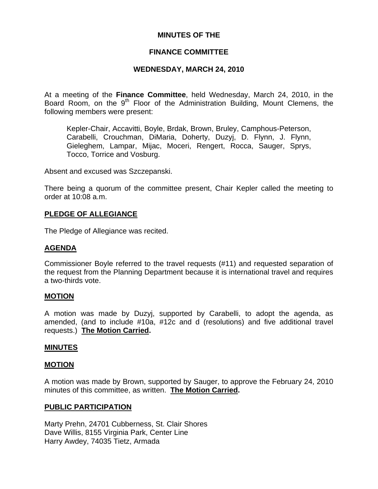## **MINUTES OF THE**

## **FINANCE COMMITTEE**

## **WEDNESDAY, MARCH 24, 2010**

At a meeting of the **Finance Committee**, held Wednesday, March 24, 2010, in the Board Room, on the  $9<sup>th</sup>$  Floor of the Administration Building, Mount Clemens, the following members were present:

Kepler-Chair, Accavitti, Boyle, Brdak, Brown, Bruley, Camphous-Peterson, Carabelli, Crouchman, DiMaria, Doherty, Duzyj, D. Flynn, J. Flynn, Gieleghem, Lampar, Mijac, Moceri, Rengert, Rocca, Sauger, Sprys, Tocco, Torrice and Vosburg.

Absent and excused was Szczepanski.

There being a quorum of the committee present, Chair Kepler called the meeting to order at 10:08 a.m.

## **PLEDGE OF ALLEGIANCE**

The Pledge of Allegiance was recited.

## **AGENDA**

Commissioner Boyle referred to the travel requests (#11) and requested separation of the request from the Planning Department because it is international travel and requires a two-thirds vote.

#### **MOTION**

A motion was made by Duzyj, supported by Carabelli, to adopt the agenda, as amended, (and to include #10a, #12c and d (resolutions) and five additional travel requests.) **The Motion Carried.** 

## **MINUTES**

#### **MOTION**

A motion was made by Brown, supported by Sauger, to approve the February 24, 2010 minutes of this committee, as written. **The Motion Carried.** 

#### **PUBLIC PARTICIPATION**

Marty Prehn, 24701 Cubberness, St. Clair Shores Dave Willis, 8155 Virginia Park, Center Line Harry Awdey, 74035 Tietz, Armada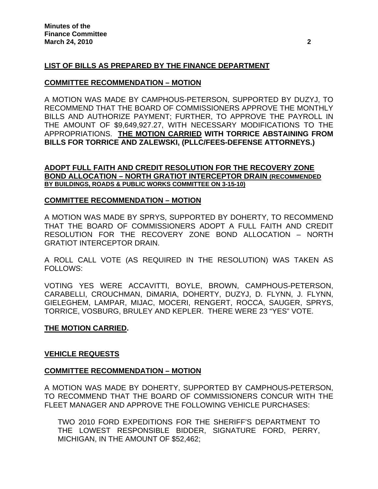## **LIST OF BILLS AS PREPARED BY THE FINANCE DEPARTMENT**

## **COMMITTEE RECOMMENDATION – MOTION**

A MOTION WAS MADE BY CAMPHOUS-PETERSON, SUPPORTED BY DUZYJ, TO RECOMMEND THAT THE BOARD OF COMMISSIONERS APPROVE THE MONTHLY BILLS AND AUTHORIZE PAYMENT; FURTHER, TO APPROVE THE PAYROLL IN THE AMOUNT OF \$9,649,927.27, WITH NECESSARY MODIFICATIONS TO THE APPROPRIATIONS. **THE MOTION CARRIED WITH TORRICE ABSTAINING FROM BILLS FOR TORRICE AND ZALEWSKI, (PLLC/FEES-DEFENSE ATTORNEYS.)** 

## **ADOPT FULL FAITH AND CREDIT RESOLUTION FOR THE RECOVERY ZONE BOND ALLOCATION – NORTH GRATIOT INTERCEPTOR DRAIN (RECOMMENDED BY BUILDINGS, ROADS & PUBLIC WORKS COMMITTEE ON 3-15-10)**

## **COMMITTEE RECOMMENDATION – MOTION**

A MOTION WAS MADE BY SPRYS, SUPPORTED BY DOHERTY, TO RECOMMEND THAT THE BOARD OF COMMISSIONERS ADOPT A FULL FAITH AND CREDIT RESOLUTION FOR THE RECOVERY ZONE BOND ALLOCATION – NORTH GRATIOT INTERCEPTOR DRAIN.

A ROLL CALL VOTE (AS REQUIRED IN THE RESOLUTION) WAS TAKEN AS FOLLOWS:

VOTING YES WERE ACCAVITTI, BOYLE, BROWN, CAMPHOUS-PETERSON, CARABELLI, CROUCHMAN, DiMARIA, DOHERTY, DUZYJ, D. FLYNN, J. FLYNN, GIELEGHEM, LAMPAR, MIJAC, MOCERI, RENGERT, ROCCA, SAUGER, SPRYS, TORRICE, VOSBURG, BRULEY AND KEPLER. THERE WERE 23 "YES" VOTE.

## **THE MOTION CARRIED.**

## **VEHICLE REQUESTS**

## **COMMITTEE RECOMMENDATION – MOTION**

A MOTION WAS MADE BY DOHERTY, SUPPORTED BY CAMPHOUS-PETERSON, TO RECOMMEND THAT THE BOARD OF COMMISSIONERS CONCUR WITH THE FLEET MANAGER AND APPROVE THE FOLLOWING VEHICLE PURCHASES:

TWO 2010 FORD EXPEDITIONS FOR THE SHERIFF'S DEPARTMENT TO THE LOWEST RESPONSIBLE BIDDER, SIGNATURE FORD, PERRY, MICHIGAN, IN THE AMOUNT OF \$52,462;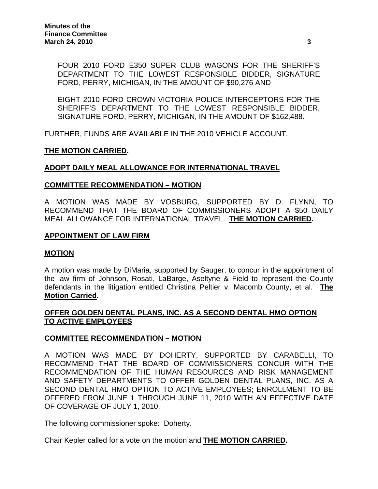FOUR 2010 FORD E350 SUPER CLUB WAGONS FOR THE SHERIFF'S DEPARTMENT TO THE LOWEST RESPONSIBLE BIDDER, SIGNATURE FORD, PERRY, MICHIGAN, IN THE AMOUNT OF \$90,276 AND

EIGHT 2010 FORD CROWN VICTORIA POLICE INTERCEPTORS FOR THE SHERIFF'S DEPARTMENT TO THE LOWEST RESPONSIBLE BIDDER, SIGNATURE FORD, PERRY, MICHIGAN, IN THE AMOUNT OF \$162,488.

FURTHER, FUNDS ARE AVAILABLE IN THE 2010 VEHICLE ACCOUNT.

## **THE MOTION CARRIED.**

## **ADOPT DAILY MEAL ALLOWANCE FOR INTERNATIONAL TRAVEL**

## **COMMITTEE RECOMMENDATION – MOTION**

A MOTION WAS MADE BY VOSBURG, SUPPORTED BY D. FLYNN, TO RECOMMEND THAT THE BOARD OF COMMISSIONERS ADOPT A \$50 DAILY MEAL ALLOWANCE FOR INTERNATIONAL TRAVEL. **THE MOTION CARRIED.** 

## **APPOINTMENT OF LAW FIRM**

## **MOTION**

A motion was made by DiMaria, supported by Sauger, to concur in the appointment of the law firm of Johnson, Rosati, LaBarge, Aseltyne & Field to represent the County defendants in the litigation entitled Christina Peltier v. Macomb County, et al. **The Motion Carried.** 

## **OFFER GOLDEN DENTAL PLANS, INC. AS A SECOND DENTAL HMO OPTION TO ACTIVE EMPLOYEES**

## **COMMITTEE RECOMMENDATION – MOTION**

A MOTION WAS MADE BY DOHERTY, SUPPORTED BY CARABELLI, TO RECOMMEND THAT THE BOARD OF COMMISSIONERS CONCUR WITH THE RECOMMENDATION OF THE HUMAN RESOURCES AND RISK MANAGEMENT AND SAFETY DEPARTMENTS TO OFFER GOLDEN DENTAL PLANS, INC. AS A SECOND DENTAL HMO OPTION TO ACTIVE EMPLOYEES; ENROLLMENT TO BE OFFERED FROM JUNE 1 THROUGH JUNE 11, 2010 WITH AN EFFECTIVE DATE OF COVERAGE OF JULY 1, 2010.

The following commissioner spoke: Doherty.

Chair Kepler called for a vote on the motion and **THE MOTION CARRIED.**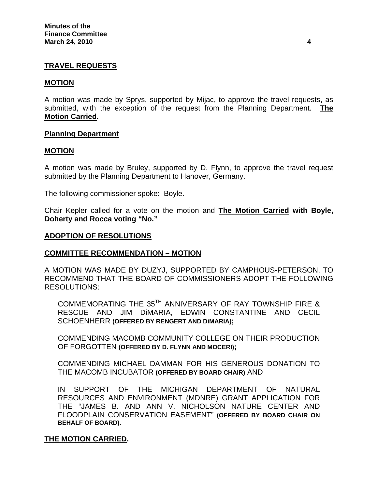## **TRAVEL REQUESTS**

#### **MOTION**

A motion was made by Sprys, supported by Mijac, to approve the travel requests, as submitted, with the exception of the request from the Planning Department. **The Motion Carried.** 

#### **Planning Department**

#### **MOTION**

A motion was made by Bruley, supported by D. Flynn, to approve the travel request submitted by the Planning Department to Hanover, Germany.

The following commissioner spoke: Boyle.

Chair Kepler called for a vote on the motion and **The Motion Carried with Boyle, Doherty and Rocca voting "No."** 

#### **ADOPTION OF RESOLUTIONS**

## **COMMITTEE RECOMMENDATION – MOTION**

A MOTION WAS MADE BY DUZYJ, SUPPORTED BY CAMPHOUS-PETERSON, TO RECOMMEND THAT THE BOARD OF COMMISSIONERS ADOPT THE FOLLOWING RESOLUTIONS:

COMMEMORATING THE 35TH ANNIVERSARY OF RAY TOWNSHIP FIRE & RESCUE AND JIM DiMARIA, EDWIN CONSTANTINE AND CECIL SCHOENHERR **(OFFERED BY RENGERT AND DiMARIA);** 

COMMENDING MACOMB COMMUNITY COLLEGE ON THEIR PRODUCTION OF FORGOTTEN **(OFFERED BY D. FLYNN AND MOCERI);** 

COMMENDING MICHAEL DAMMAN FOR HIS GENEROUS DONATION TO THE MACOMB INCUBATOR **(OFFERED BY BOARD CHAIR)** AND

IN SUPPORT OF THE MICHIGAN DEPARTMENT OF NATURAL RESOURCES AND ENVIRONMENT (MDNRE) GRANT APPLICATION FOR THE "JAMES B. AND ANN V. NICHOLSON NATURE CENTER AND FLOODPLAIN CONSERVATION EASEMENT" **(OFFERED BY BOARD CHAIR ON BEHALF OF BOARD).**

## **THE MOTION CARRIED.**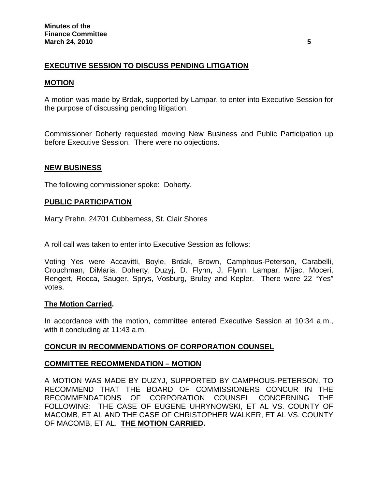## **EXECUTIVE SESSION TO DISCUSS PENDING LITIGATION**

## **MOTION**

A motion was made by Brdak, supported by Lampar, to enter into Executive Session for the purpose of discussing pending litigation.

Commissioner Doherty requested moving New Business and Public Participation up before Executive Session. There were no objections.

## **NEW BUSINESS**

The following commissioner spoke: Doherty.

## **PUBLIC PARTICIPATION**

Marty Prehn, 24701 Cubberness, St. Clair Shores

A roll call was taken to enter into Executive Session as follows:

Voting Yes were Accavitti, Boyle, Brdak, Brown, Camphous-Peterson, Carabelli, Crouchman, DiMaria, Doherty, Duzyj, D. Flynn, J. Flynn, Lampar, Mijac, Moceri, Rengert, Rocca, Sauger, Sprys, Vosburg, Bruley and Kepler. There were 22 "Yes" votes.

## **The Motion Carried.**

In accordance with the motion, committee entered Executive Session at 10:34 a.m., with it concluding at 11:43 a.m.

## **CONCUR IN RECOMMENDATIONS OF CORPORATION COUNSEL**

## **COMMITTEE RECOMMENDATION – MOTION**

A MOTION WAS MADE BY DUZYJ, SUPPORTED BY CAMPHOUS-PETERSON, TO RECOMMEND THAT THE BOARD OF COMMISSIONERS CONCUR IN THE RECOMMENDATIONS OF CORPORATION COUNSEL CONCERNING THE FOLLOWING: THE CASE OF EUGENE UHRYNOWSKI, ET AL VS. COUNTY OF MACOMB, ET AL AND THE CASE OF CHRISTOPHER WALKER, ET AL VS. COUNTY OF MACOMB, ET AL. **THE MOTION CARRIED.**